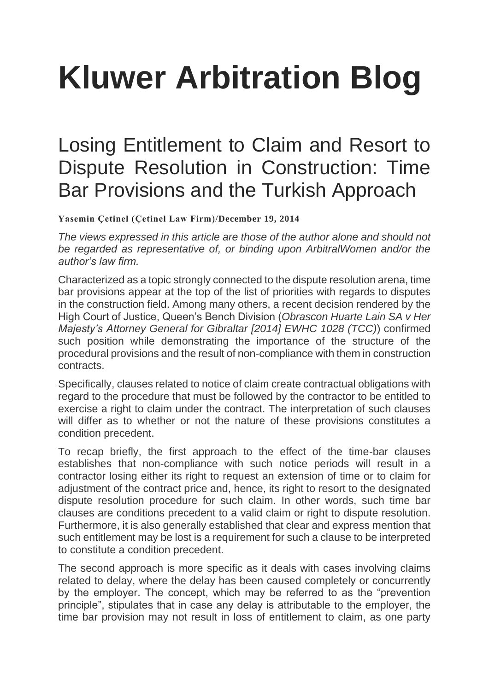## **[Kluwer Arbitration Blog](http://arbitrationblog.kluwerarbitration.com/)**

## [Losing Entitlement to Claim and Resort to](http://arbitrationblog.kluwerarbitration.com/2014/12/19/losing-entitlement-to-claim-and-resort-to-dispute-resolution-in-construction-time-bar-provisions-and-the-turkish-approach/)  [Dispute Resolution in Construction: Time](http://arbitrationblog.kluwerarbitration.com/2014/12/19/losing-entitlement-to-claim-and-resort-to-dispute-resolution-in-construction-time-bar-provisions-and-the-turkish-approach/)  [Bar Provisions and the Turkish Approach](http://arbitrationblog.kluwerarbitration.com/2014/12/19/losing-entitlement-to-claim-and-resort-to-dispute-resolution-in-construction-time-bar-provisions-and-the-turkish-approach/)

**[Yasemin Çetinel](http://arbitrationblog.kluwerarbitration.com/author/yasemin-cetinel/)** (**[Çetinel Law Firm](http://www.ycetinel.av.tr/)**)/**[December 19, 2014](http://arbitrationblog.kluwerarbitration.com/2014/12/19/losing-entitlement-to-claim-and-resort-to-dispute-resolution-in-construction-time-bar-provisions-and-the-turkish-approach/)**

*The views expressed in this article are those of the author alone and should not be regarded as representative of, or binding upon ArbitralWomen and/or the author's law firm.*

Characterized as a topic strongly connected to the dispute resolution arena, time bar provisions appear at the top of the list of priorities with regards to disputes in the construction field. Among many others, a recent decision rendered by the High Court of Justice, Queen's Bench Division (*Obrascon Huarte Lain SA v Her Majesty's Attorney General for Gibraltar [2014] EWHC 1028 (TCC)*) confirmed such position while demonstrating the importance of the structure of the procedural provisions and the result of non-compliance with them in construction contracts.

Specifically, clauses related to notice of claim create contractual obligations with regard to the procedure that must be followed by the contractor to be entitled to exercise a right to claim under the contract. The interpretation of such clauses will differ as to whether or not the nature of these provisions constitutes a condition precedent.

To recap briefly, the first approach to the effect of the time-bar clauses establishes that non-compliance with such notice periods will result in a contractor losing either its right to request an extension of time or to claim for adjustment of the contract price and, hence, its right to resort to the designated dispute resolution procedure for such claim. In other words, such time bar clauses are conditions precedent to a valid claim or right to dispute resolution. Furthermore, it is also generally established that clear and express mention that such entitlement may be lost is a requirement for such a clause to be interpreted to constitute a condition precedent.

The second approach is more specific as it deals with cases involving claims related to delay, where the delay has been caused completely or concurrently by the employer. The concept, which may be referred to as the "prevention principle", stipulates that in case any delay is attributable to the employer, the time bar provision may not result in loss of entitlement to claim, as one party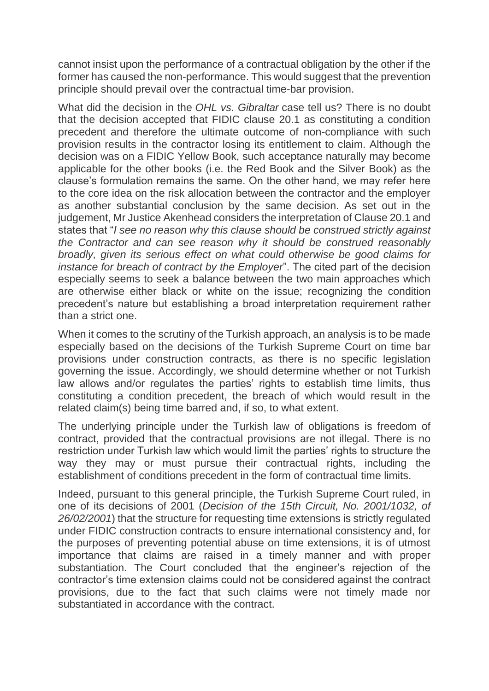cannot insist upon the performance of a contractual obligation by the other if the former has caused the non-performance. This would suggest that the prevention principle should prevail over the contractual time-bar provision.

What did the decision in the *OHL vs. Gibraltar* case tell us? There is no doubt that the decision accepted that FIDIC clause 20.1 as constituting a condition precedent and therefore the ultimate outcome of non-compliance with such provision results in the contractor losing its entitlement to claim. Although the decision was on a FIDIC Yellow Book, such acceptance naturally may become applicable for the other books (i.e. the Red Book and the Silver Book) as the clause's formulation remains the same. On the other hand, we may refer here to the core idea on the risk allocation between the contractor and the employer as another substantial conclusion by the same decision. As set out in the judgement, Mr Justice Akenhead considers the interpretation of Clause 20.1 and states that "*I see no reason why this clause should be construed strictly against the Contractor and can see reason why it should be construed reasonably broadly, given its serious effect on what could otherwise be good claims for instance for breach of contract by the Employer*". The cited part of the decision especially seems to seek a balance between the two main approaches which are otherwise either black or white on the issue; recognizing the condition precedent's nature but establishing a broad interpretation requirement rather than a strict one.

When it comes to the scrutiny of the Turkish approach, an analysis is to be made especially based on the decisions of the Turkish Supreme Court on time bar provisions under construction contracts, as there is no specific legislation governing the issue. Accordingly, we should determine whether or not Turkish law allows and/or regulates the parties' rights to establish time limits, thus constituting a condition precedent, the breach of which would result in the related claim(s) being time barred and, if so, to what extent.

The underlying principle under the Turkish law of obligations is freedom of contract, provided that the contractual provisions are not illegal. There is no restriction under Turkish law which would limit the parties' rights to structure the way they may or must pursue their contractual rights, including the establishment of conditions precedent in the form of contractual time limits.

Indeed, pursuant to this general principle, the Turkish Supreme Court ruled, in one of its decisions of 2001 (*Decision of the 15th Circuit, No. 2001/1032, of 26/02/2001*) that the structure for requesting time extensions is strictly regulated under FIDIC construction contracts to ensure international consistency and, for the purposes of preventing potential abuse on time extensions, it is of utmost importance that claims are raised in a timely manner and with proper substantiation. The Court concluded that the engineer's rejection of the contractor's time extension claims could not be considered against the contract provisions, due to the fact that such claims were not timely made nor substantiated in accordance with the contract.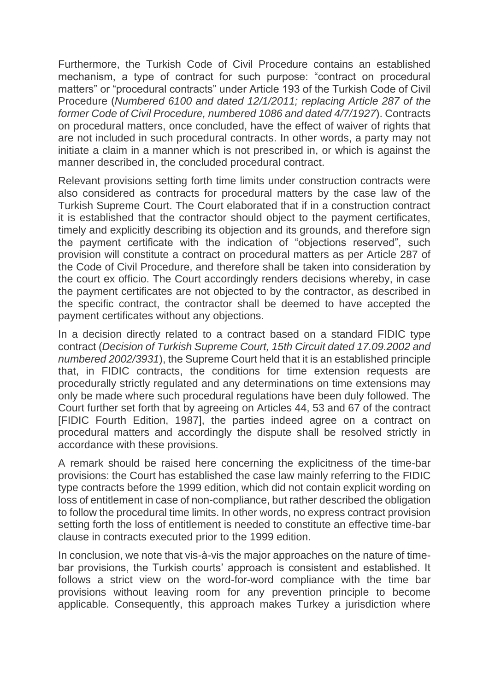Furthermore, the Turkish Code of Civil Procedure contains an established mechanism, a type of contract for such purpose: "contract on procedural matters" or "procedural contracts" under Article 193 of the Turkish Code of Civil Procedure (*Numbered 6100 and dated 12/1/2011; replacing Article 287 of the former Code of Civil Procedure, numbered 1086 and dated 4/7/1927*). Contracts on procedural matters, once concluded, have the effect of waiver of rights that are not included in such procedural contracts. In other words, a party may not initiate a claim in a manner which is not prescribed in, or which is against the manner described in, the concluded procedural contract.

Relevant provisions setting forth time limits under construction contracts were also considered as contracts for procedural matters by the case law of the Turkish Supreme Court. The Court elaborated that if in a construction contract it is established that the contractor should object to the payment certificates, timely and explicitly describing its objection and its grounds, and therefore sign the payment certificate with the indication of "objections reserved", such provision will constitute a contract on procedural matters as per Article 287 of the Code of Civil Procedure, and therefore shall be taken into consideration by the court ex officio. The Court accordingly renders decisions whereby, in case the payment certificates are not objected to by the contractor, as described in the specific contract, the contractor shall be deemed to have accepted the payment certificates without any objections.

In a decision directly related to a contract based on a standard FIDIC type contract (*Decision of Turkish Supreme Court, 15th Circuit dated 17.09.2002 and numbered 2002/3931*), the Supreme Court held that it is an established principle that, in FIDIC contracts, the conditions for time extension requests are procedurally strictly regulated and any determinations on time extensions may only be made where such procedural regulations have been duly followed. The Court further set forth that by agreeing on Articles 44, 53 and 67 of the contract [FIDIC Fourth Edition, 1987], the parties indeed agree on a contract on procedural matters and accordingly the dispute shall be resolved strictly in accordance with these provisions.

A remark should be raised here concerning the explicitness of the time-bar provisions: the Court has established the case law mainly referring to the FIDIC type contracts before the 1999 edition, which did not contain explicit wording on loss of entitlement in case of non-compliance, but rather described the obligation to follow the procedural time limits. In other words, no express contract provision setting forth the loss of entitlement is needed to constitute an effective time-bar clause in contracts executed prior to the 1999 edition.

In conclusion, we note that vis-à-vis the major approaches on the nature of timebar provisions, the Turkish courts' approach is consistent and established. It follows a strict view on the word-for-word compliance with the time bar provisions without leaving room for any prevention principle to become applicable. Consequently, this approach makes Turkey a jurisdiction where